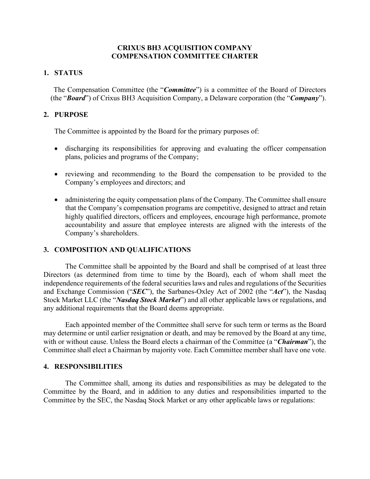## **CRIXUS BH3 ACQUISITION COMPANY COMPENSATION COMMITTEE CHARTER**

## **1. STATUS**

The Compensation Committee (the "*Committee*") is a committee of the Board of Directors (the "*Board*") of Crixus BH3 Acquisition Company, a Delaware corporation (the "*Company*").

# **2. PURPOSE**

The Committee is appointed by the Board for the primary purposes of:

- discharging its responsibilities for approving and evaluating the officer compensation plans, policies and programs of the Company;
- reviewing and recommending to the Board the compensation to be provided to the Company's employees and directors; and
- administering the equity compensation plans of the Company. The Committee shall ensure that the Company's compensation programs are competitive, designed to attract and retain highly qualified directors, officers and employees, encourage high performance, promote accountability and assure that employee interests are aligned with the interests of the Company's shareholders.

### **3. COMPOSITION AND QUALIFICATIONS**

The Committee shall be appointed by the Board and shall be comprised of at least three Directors (as determined from time to time by the Board), each of whom shall meet the independence requirements of the federal securities laws and rules and regulations of the Securities and Exchange Commission ("*SEC*"), the Sarbanes-Oxley Act of 2002 (the "*Act*"), the Nasdaq Stock Market LLC (the "*Nasdaq Stock Market*") and all other applicable laws or regulations, and any additional requirements that the Board deems appropriate.

Each appointed member of the Committee shall serve for such term or terms as the Board may determine or until earlier resignation or death, and may be removed by the Board at any time, with or without cause. Unless the Board elects a chairman of the Committee (a "*Chairman*"), the Committee shall elect a Chairman by majority vote. Each Committee member shall have one vote.

### **4. RESPONSIBILITIES**

The Committee shall, among its duties and responsibilities as may be delegated to the Committee by the Board, and in addition to any duties and responsibilities imparted to the Committee by the SEC, the Nasdaq Stock Market or any other applicable laws or regulations: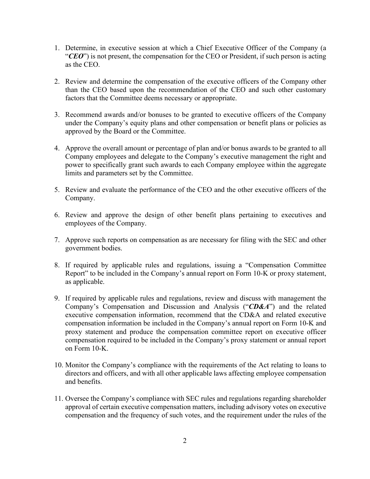- 1. Determine, in executive session at which a Chief Executive Officer of the Company (a "*CEO*") is not present, the compensation for the CEO or President, if such person is acting as the CEO.
- 2. Review and determine the compensation of the executive officers of the Company other than the CEO based upon the recommendation of the CEO and such other customary factors that the Committee deems necessary or appropriate.
- 3. Recommend awards and/or bonuses to be granted to executive officers of the Company under the Company's equity plans and other compensation or benefit plans or policies as approved by the Board or the Committee.
- 4. Approve the overall amount or percentage of plan and/or bonus awards to be granted to all Company employees and delegate to the Company's executive management the right and power to specifically grant such awards to each Company employee within the aggregate limits and parameters set by the Committee.
- 5. Review and evaluate the performance of the CEO and the other executive officers of the Company.
- 6. Review and approve the design of other benefit plans pertaining to executives and employees of the Company.
- 7. Approve such reports on compensation as are necessary for filing with the SEC and other government bodies.
- 8. If required by applicable rules and regulations, issuing a "Compensation Committee Report" to be included in the Company's annual report on Form 10-K or proxy statement, as applicable.
- 9. If required by applicable rules and regulations, review and discuss with management the Company's Compensation and Discussion and Analysis ("*CD&A*") and the related executive compensation information, recommend that the CD&A and related executive compensation information be included in the Company's annual report on Form 10-K and proxy statement and produce the compensation committee report on executive officer compensation required to be included in the Company's proxy statement or annual report on Form 10-K.
- 10. Monitor the Company's compliance with the requirements of the Act relating to loans to directors and officers, and with all other applicable laws affecting employee compensation and benefits.
- 11. Oversee the Company's compliance with SEC rules and regulations regarding shareholder approval of certain executive compensation matters, including advisory votes on executive compensation and the frequency of such votes, and the requirement under the rules of the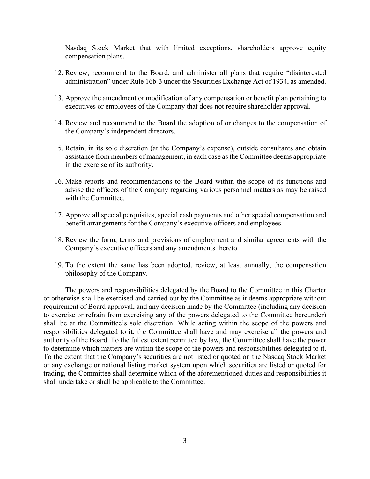Nasdaq Stock Market that with limited exceptions, shareholders approve equity compensation plans.

- 12. Review, recommend to the Board, and administer all plans that require "disinterested administration" under Rule 16b-3 under the Securities Exchange Act of 1934, as amended.
- 13. Approve the amendment or modification of any compensation or benefit plan pertaining to executives or employees of the Company that does not require shareholder approval.
- 14. Review and recommend to the Board the adoption of or changes to the compensation of the Company's independent directors.
- 15. Retain, in its sole discretion (at the Company's expense), outside consultants and obtain assistance from members of management, in each case as the Committee deems appropriate in the exercise of its authority.
- 16. Make reports and recommendations to the Board within the scope of its functions and advise the officers of the Company regarding various personnel matters as may be raised with the Committee.
- 17. Approve all special perquisites, special cash payments and other special compensation and benefit arrangements for the Company's executive officers and employees.
- 18. Review the form, terms and provisions of employment and similar agreements with the Company's executive officers and any amendments thereto.
- 19. To the extent the same has been adopted, review, at least annually, the compensation philosophy of the Company.

The powers and responsibilities delegated by the Board to the Committee in this Charter or otherwise shall be exercised and carried out by the Committee as it deems appropriate without requirement of Board approval, and any decision made by the Committee (including any decision to exercise or refrain from exercising any of the powers delegated to the Committee hereunder) shall be at the Committee's sole discretion. While acting within the scope of the powers and responsibilities delegated to it, the Committee shall have and may exercise all the powers and authority of the Board. To the fullest extent permitted by law, the Committee shall have the power to determine which matters are within the scope of the powers and responsibilities delegated to it. To the extent that the Company's securities are not listed or quoted on the Nasdaq Stock Market or any exchange or national listing market system upon which securities are listed or quoted for trading, the Committee shall determine which of the aforementioned duties and responsibilities it shall undertake or shall be applicable to the Committee.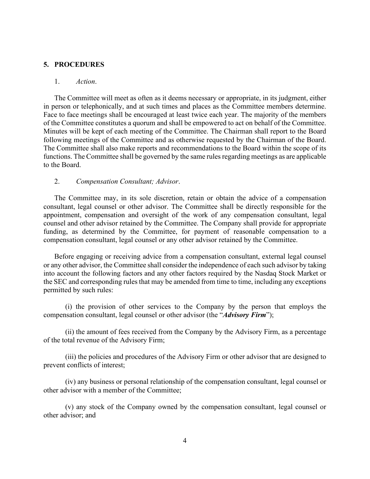### **5. PROCEDURES**

### 1. *Action*.

The Committee will meet as often as it deems necessary or appropriate, in its judgment, either in person or telephonically, and at such times and places as the Committee members determine. Face to face meetings shall be encouraged at least twice each year. The majority of the members of the Committee constitutes a quorum and shall be empowered to act on behalf of the Committee. Minutes will be kept of each meeting of the Committee. The Chairman shall report to the Board following meetings of the Committee and as otherwise requested by the Chairman of the Board. The Committee shall also make reports and recommendations to the Board within the scope of its functions. The Committee shall be governed by the same rules regarding meetings as are applicable to the Board.

#### 2. *Compensation Consultant; Advisor*.

The Committee may, in its sole discretion, retain or obtain the advice of a compensation consultant, legal counsel or other advisor. The Committee shall be directly responsible for the appointment, compensation and oversight of the work of any compensation consultant, legal counsel and other advisor retained by the Committee. The Company shall provide for appropriate funding, as determined by the Committee, for payment of reasonable compensation to a compensation consultant, legal counsel or any other advisor retained by the Committee.

Before engaging or receiving advice from a compensation consultant, external legal counsel or any other advisor, the Committee shall consider the independence of each such advisor by taking into account the following factors and any other factors required by the Nasdaq Stock Market or the SEC and corresponding rules that may be amended from time to time, including any exceptions permitted by such rules:

(i) the provision of other services to the Company by the person that employs the compensation consultant, legal counsel or other advisor (the "*Advisory Firm*");

(ii) the amount of fees received from the Company by the Advisory Firm, as a percentage of the total revenue of the Advisory Firm;

(iii) the policies and procedures of the Advisory Firm or other advisor that are designed to prevent conflicts of interest;

(iv) any business or personal relationship of the compensation consultant, legal counsel or other advisor with a member of the Committee;

(v) any stock of the Company owned by the compensation consultant, legal counsel or other advisor; and